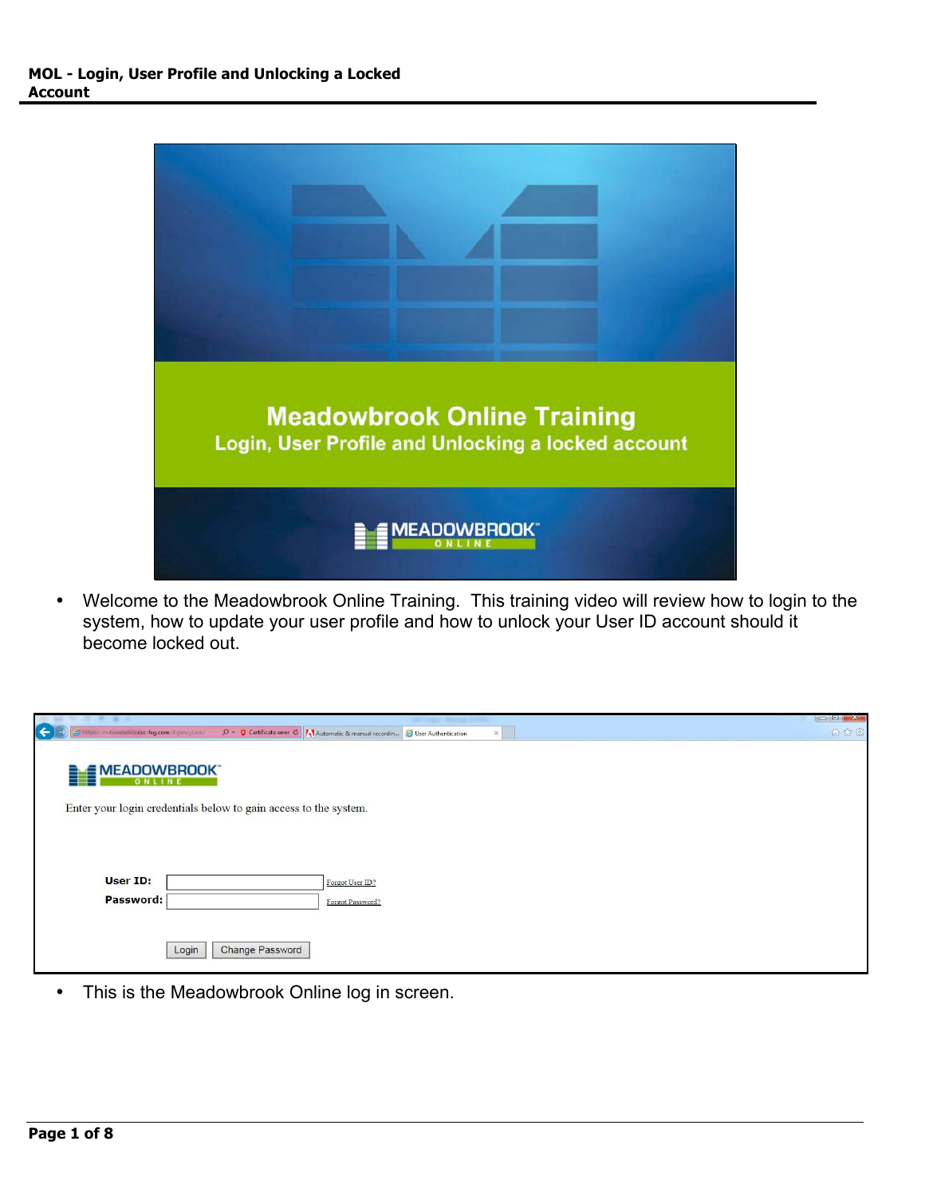

• Welcome to the Meadowbrook Online Training. This training video will review how to login to the system, how to update your user profile and how to unlock your User ID account should it become locked out.

|                                                                    |                               |                           |                                                                                                                            |          | $\Box$ $\Box$ $\Box$ |
|--------------------------------------------------------------------|-------------------------------|---------------------------|----------------------------------------------------------------------------------------------------------------------------|----------|----------------------|
| $\left  \right.  \right.  \left. \right.  \left. \right.  \right.$ |                               | a.csc-fsg.com/AgencyLink/ | $\beta$ + $\circledcirc$ Certificate error $\circledcirc$ / Automatic & manual recordin $\circledcirc$ User Authentication | $\times$ | 合众德                  |
|                                                                    | <b>EMEADOWBROOK</b><br>ONLINE |                           |                                                                                                                            |          |                      |
|                                                                    |                               |                           | Enter your login credentials below to gain access to the system.                                                           |          |                      |
|                                                                    | User ID:<br>Password:         | Login                     | Forgot User ID?<br>Forgot Password?<br>Change Password                                                                     |          |                      |

• This is the Meadowbrook Online log in screen.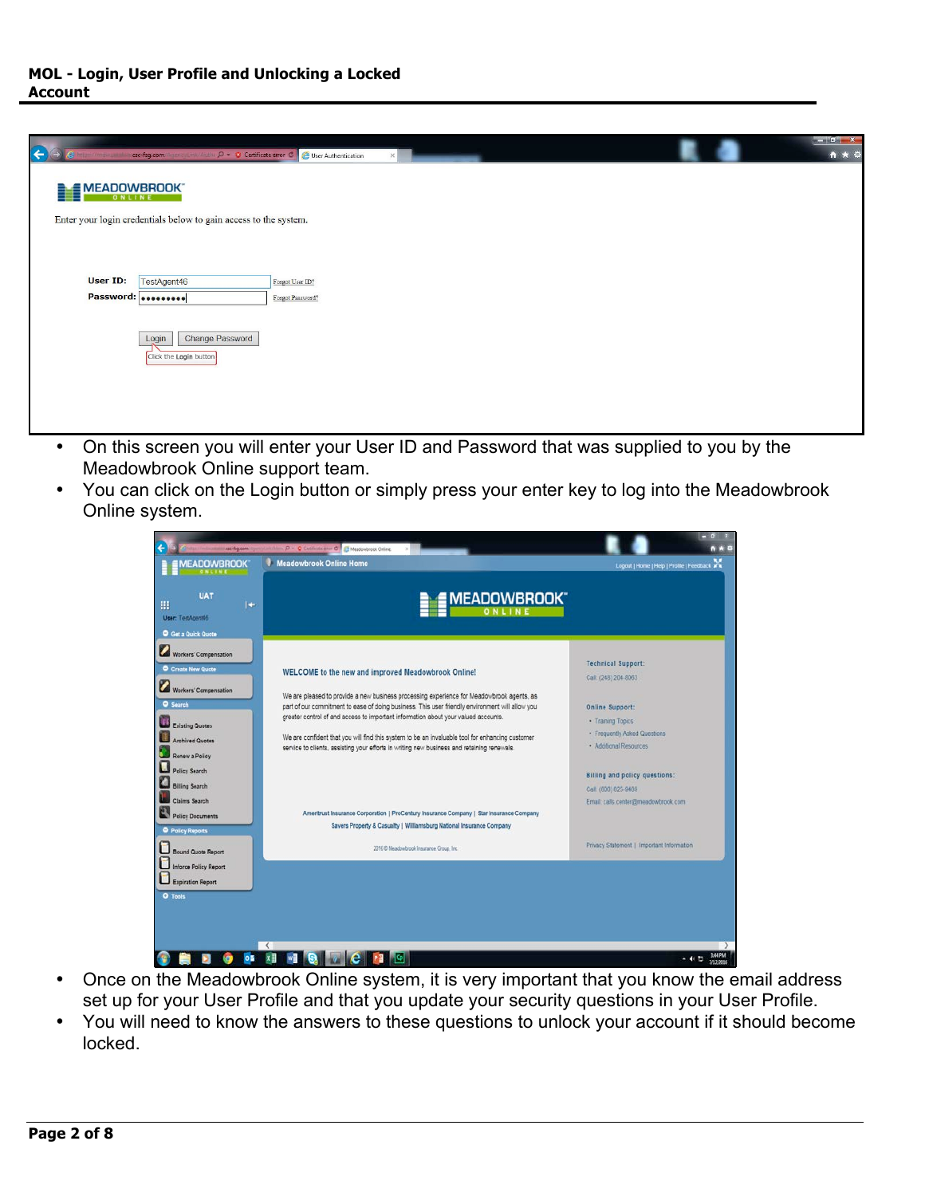| $\leftarrow$          | csc-fsg.com and distinct Anglic D + 3 Certificate error C        | User Authentication<br>$\times$ |  |  | $\mathbf{x}$<br><b>SCHOOL</b><br>自大章 |
|-----------------------|------------------------------------------------------------------|---------------------------------|--|--|--------------------------------------|
| MEADOWBROOK<br>ONLINE |                                                                  |                                 |  |  |                                      |
|                       | Enter your login credentials below to gain access to the system. |                                 |  |  |                                      |
|                       |                                                                  |                                 |  |  |                                      |
| User ID:              | TestAgent46                                                      | Forgot User ID?                 |  |  |                                      |
| Password: 000000000   |                                                                  | Forgot Password?                |  |  |                                      |
|                       | Change Password<br>Login<br>Click the Login button               |                                 |  |  |                                      |

- On this screen you will enter your User ID and Password that was supplied to you by the Meadowbrook Online support team.
- You can click on the Login button or simply press your enter key to log into the Meadowbrook Online system.



- Once on the Meadowbrook Online system, it is very important that you know the email address set up for your User Profile and that you update your security questions in your User Profile.
- You will need to know the answers to these questions to unlock your account if it should become locked.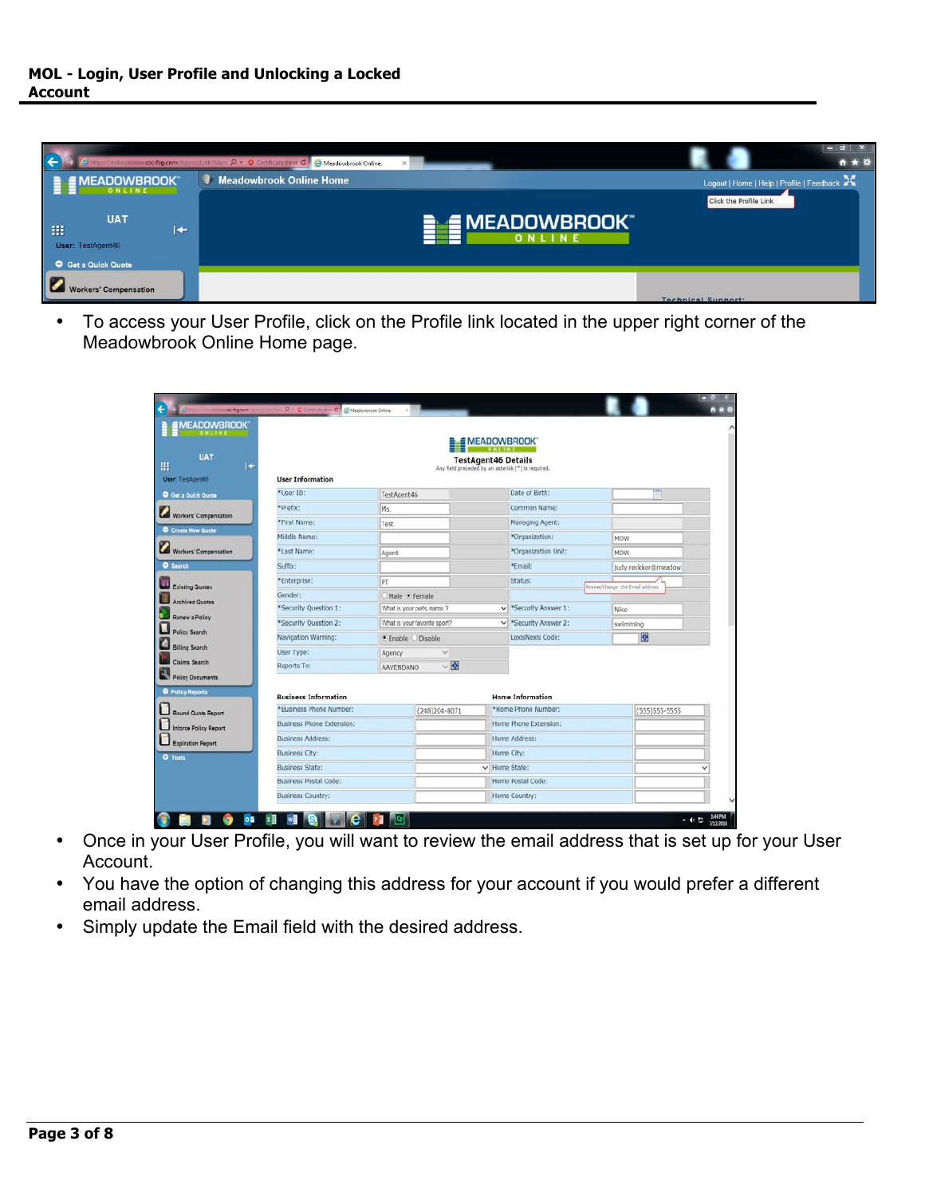

• To access your User Profile, click on the Profile link located in the upper right corner of the Meadowbrook Online Home page.

| <b>MEADOWBROOK</b><br><b>UAT</b>                   |                                  |                    |                              |         | <b>EMEADOWBROOK</b><br><b>TestAgent46 Details</b>  |                                  |                      |
|----------------------------------------------------|----------------------------------|--------------------|------------------------------|---------|----------------------------------------------------|----------------------------------|----------------------|
| l t<br>User: TestAgent46                           | <b>User Information</b>          |                    |                              |         | Any field preceded by an asterisk (*) is required. |                                  |                      |
| <b>O</b> Get a Quick Quote                         | *User ID:                        | TestAgent46        |                              |         | Date of Birth:                                     |                                  |                      |
|                                                    | *Prefix:                         | Ms.                |                              |         | Common Name:                                       |                                  |                      |
| Workers' Compensation                              | *First Name:                     | Test               |                              |         | Managing Agent:                                    |                                  |                      |
| O Create New Quote                                 | Middle Name:                     |                    |                              |         | *Organization:                                     | MDW                              |                      |
| Workers' Compensation                              | *Last Name:                      | Agent              |                              |         | *Organization Unit:                                | MDW                              |                      |
| <b>Q</b> Search                                    | Suffix:                          |                    |                              |         | *Email:                                            |                                  | Judy.reckker@meadowl |
|                                                    | *Enterprise:                     | PT                 |                              | Status: |                                                    |                                  |                      |
| <b>Existing Quotes</b>                             | Gender:                          | Male • Female      |                              |         |                                                    | Review/Change, the Email address |                      |
| <b>Archived Quotes</b>                             | *Security Question 1:            |                    | What is your pet's name ?    |         | v *Security Answer 1:                              | Nike                             |                      |
| Renew a Policy                                     | *Security Question 2:            |                    | What is your favorite sport? |         | v *Security Answer 2:<br>swimming                  |                                  |                      |
| <b>Policy Search</b>                               | Navigation Warning:              | · Enable O Disable |                              |         | LexisNexis Code:                                   |                                  | $\bullet$            |
| <b>Billing Search</b>                              | User Type:                       | Agency             | $\checkmark$                 |         |                                                    |                                  |                      |
| <b>Claims Search</b>                               | Reports To:                      | AAVENDANO          | $\vee$ 0                     |         |                                                    |                                  |                      |
| <b>Policy Documents</b><br><b>O</b> Policy Reports | <b>Business Information</b>      |                    |                              |         | <b>Home Information</b>                            |                                  |                      |
| <b>Bound Quote Report</b>                          | *Business Phone Number:          |                    | (248)204-8071                |         | *Home Phone Number:                                |                                  | (555) 555-5555       |
| Inforce Policy Report                              | <b>Business Phone Extension:</b> |                    |                              |         | Home Phone Extension:                              |                                  |                      |
| <b>Expiration Report</b>                           | Business Address:                |                    |                              |         | Home Address:                                      |                                  |                      |
| O Tools                                            | <b>Business City:</b>            |                    |                              |         | Home City:                                         |                                  |                      |
|                                                    | <b>Business State:</b>           |                    |                              |         | V Home State:                                      |                                  |                      |
|                                                    | <b>Business Postal Code:</b>     |                    |                              |         | Home Postal Code:                                  |                                  |                      |
|                                                    | <b>Business Country:</b>         |                    |                              |         | Home Country:                                      |                                  |                      |

- Once in your User Profile, you will want to review the email address that is set up for your User Account.
- You have the option of changing this address for your account if you would prefer a different email address.
- Simply update the Email field with the desired address.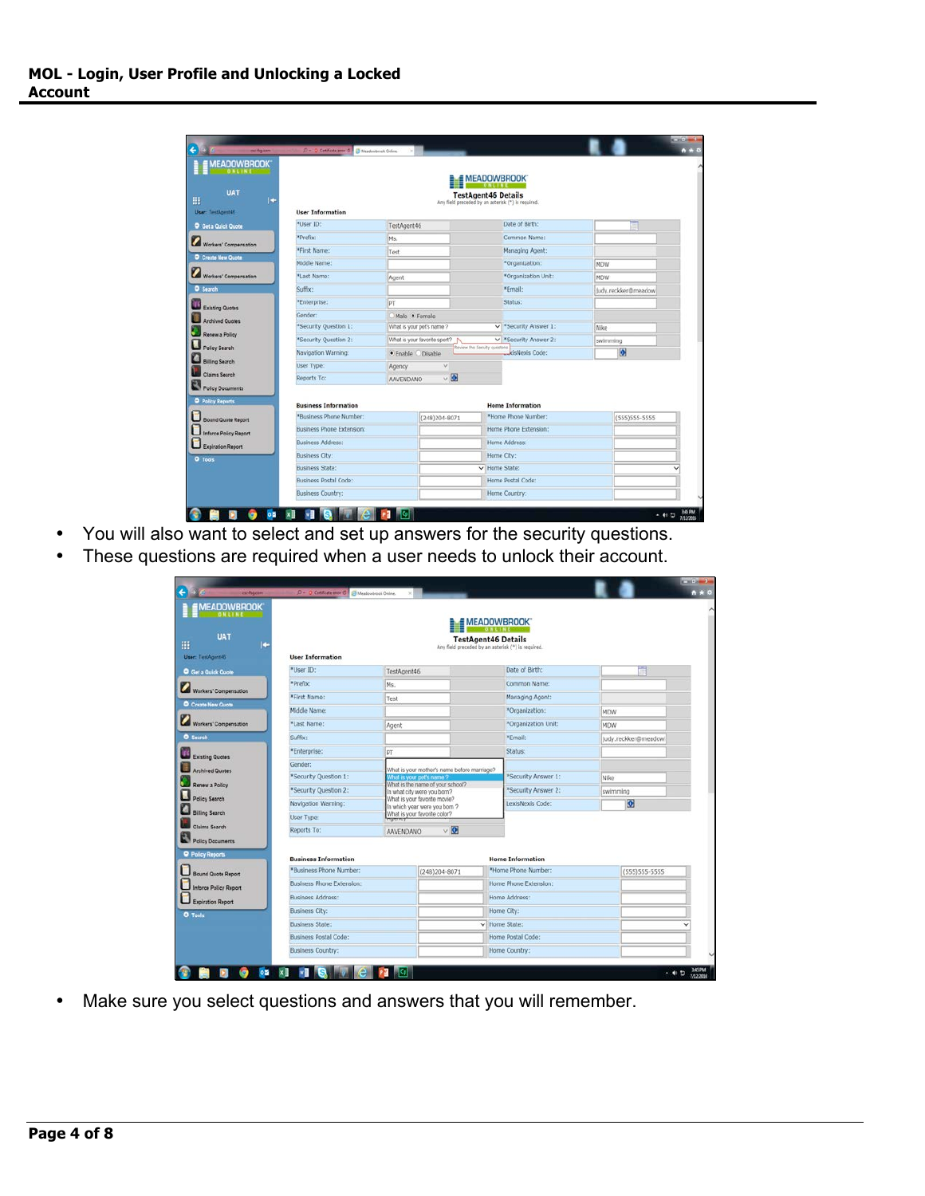| <b>MEADOWBROOK®</b>                                |                                  |                  |                              | <b>EMEADOWBROOK</b>           |                                                    |          |                      |
|----------------------------------------------------|----------------------------------|------------------|------------------------------|-------------------------------|----------------------------------------------------|----------|----------------------|
| <b>UAT</b><br>c<br>User: TestAgent46               | <b>User Information</b>          |                  |                              | <b>TestAgent46 Details</b>    | Any field preceded by an asterisk (*) is required. |          |                      |
| C Get a Quick Quote                                | *User ID:                        | TestAgent46      |                              |                               | Date of Birth:                                     |          |                      |
| Workers' Compensation                              | *Prefix:                         | Ms.              |                              |                               | Common Name:                                       |          |                      |
|                                                    | *First Name:                     | Test             |                              |                               | Managing Agent:                                    |          |                      |
| Create New Quote                                   | Middle Name:                     |                  |                              |                               | *Organization:                                     | MDW      |                      |
| Workers' Compensation                              | *Last Name:                      | Agent            |                              |                               | *Organization Unit:                                | MDW      |                      |
| <b>O</b> Search                                    | Suffix:                          |                  |                              |                               | *Fmail:                                            |          | Judy.reckker@meadow  |
| <b>Existing Quotes</b>                             | *Enterprise:                     | pT               |                              |                               | Status:                                            |          |                      |
| <b>Archived Quotes</b>                             | Gender:                          |                  |                              |                               | Male · Female                                      |          |                      |
|                                                    | *Security Question 1:            |                  | What is your pet's name ?    | v *Security Answer 1:         |                                                    | Nike     |                      |
| Renew a Policy                                     | *Security Question 2:            |                  | What is your favorite sport? | v *Security Answer 2:         |                                                    | swimming |                      |
| Policy Search                                      | Navigation Warning:              |                  | · Enable O Disable           | Review the Security questions | kisNexis Code:                                     |          | $\overline{\bullet}$ |
| <b>Billing Search</b>                              | User Type:                       | Agency           | $\vee$                       |                               |                                                    |          |                      |
| Claims Search                                      | Reports To:                      | <b>AAVENDANO</b> | $\vee$ 0                     |                               |                                                    |          |                      |
| <b>Policy Documents</b><br><b>O</b> Policy Reports | <b>Business Information</b>      |                  |                              |                               | <b>Home Information</b>                            |          |                      |
| <b>Bound Quote Report</b>                          | *Business Phone Number:          |                  | (248) 204-8071               |                               | *Home Phone Number:                                |          | (555)555-5555        |
| <b>Inforce Policy Report</b>                       | <b>Business Phone Extension:</b> |                  |                              |                               | Home Phone Extension:                              |          |                      |
| Expiration Report                                  | <b>Business Address:</b>         |                  |                              |                               | Home Address:                                      |          |                      |
| O Tools                                            | <b>Business City:</b>            |                  |                              |                               | Home City:                                         |          |                      |
|                                                    | <b>Business State:</b>           |                  |                              | V Home State:                 |                                                    |          |                      |
|                                                    | <b>Business Postal Code:</b>     |                  |                              |                               | Home Postal Code:                                  |          |                      |
|                                                    | <b>Business Country:</b>         |                  |                              |                               | Home Country:                                      |          |                      |

- You will also want to select and set up answers for the security questions.
- These questions are required when a user needs to unlock their account.

| <b>MEADOWBROOK</b><br><b>UAT</b> |                                      |                                                                                                            |                                                               | <b>EMEADOWBROOK</b>        |                         |          |                     |
|----------------------------------|--------------------------------------|------------------------------------------------------------------------------------------------------------|---------------------------------------------------------------|----------------------------|-------------------------|----------|---------------------|
| c                                |                                      |                                                                                                            | Any field preceded by an asterisk (*) is required.            | <b>TestAgent46 Details</b> |                         |          |                     |
| User: TestAgent45                | <b>User Information</b><br>*User ID: |                                                                                                            |                                                               |                            | Date of Birth:          |          |                     |
| <b>O</b> Get a Quick Quote       |                                      | TestAgent46                                                                                                |                                                               |                            |                         |          |                     |
| Workers' Compensation            | *Prefix:                             | Ms.                                                                                                        |                                                               |                            | Common Name:            |          |                     |
| Create New Quote                 | *First Name:                         | Test                                                                                                       |                                                               |                            | Managing Agent:         |          |                     |
|                                  | Middle Name:                         |                                                                                                            |                                                               |                            | *Organization:          | MDW      |                     |
| Workers' Compensation            | *Last Name:                          | Agent                                                                                                      |                                                               |                            | *Organization Unit:     | MDW      |                     |
| <b>O</b> Search                  | Suffix:                              |                                                                                                            |                                                               |                            | *Email:                 |          | Judy.reckker@meadow |
| <b>Existing Quotes</b>           | *Enterprise:                         | PT                                                                                                         |                                                               |                            | Status:                 |          |                     |
| <b>Archived Quotes</b>           | Gender:                              | What is your mother's name before mamage?<br>What is your pet's name ?<br>What is the name of your school? |                                                               |                            |                         |          |                     |
|                                  | *Security Question 1:                |                                                                                                            |                                                               |                            | *Security Answer 1:     | Nike     |                     |
| Renew a Policy                   | *Security Question 2:                |                                                                                                            | In what city were you born?                                   |                            | *Security Answer 2:     | swimming |                     |
| Policy Search                    | Navigation Warning:                  |                                                                                                            | What is your favorite movie?<br>In which year were you born ? |                            | LexisNexis Code:        |          | $\bullet$           |
| <b>Billing Search</b>            | User Type:                           |                                                                                                            | What is your favorite color?                                  |                            |                         |          |                     |
| <b>Claims Search</b>             | Reports To:                          | AAVENDANO                                                                                                  | $\vee$ 0                                                      |                            |                         |          |                     |
| Policy Documents                 |                                      |                                                                                                            |                                                               |                            |                         |          |                     |
| <b>Q</b> Policy Reports          | <b>Business Information</b>          |                                                                                                            |                                                               |                            | <b>Home Information</b> |          |                     |
| <b>Bound Quote Report</b>        | *Business Phone Number:              |                                                                                                            | $(248)204 - 8071$                                             |                            | *Home Phone Number:     |          | (555) 555-5555      |
| <b>Inforce Policy Report</b>     | <b>Business Phone Extension:</b>     |                                                                                                            |                                                               |                            | Home Phone Extension:   |          |                     |
| <b>Expiration Report</b>         | <b>Business Address:</b>             |                                                                                                            |                                                               |                            | Home Address:           |          |                     |
| <b>O</b> Tools                   | <b>Business City:</b>                |                                                                                                            |                                                               | Home City:                 |                         |          |                     |
|                                  | <b>Business State:</b>               |                                                                                                            |                                                               | v Home State:              |                         |          |                     |
|                                  | <b>Business Postal Code:</b>         |                                                                                                            |                                                               |                            | Home Postal Code:       |          |                     |
|                                  | <b>Business Country:</b>             |                                                                                                            |                                                               |                            | Home Country:           |          |                     |

• Make sure you select questions and answers that you will remember.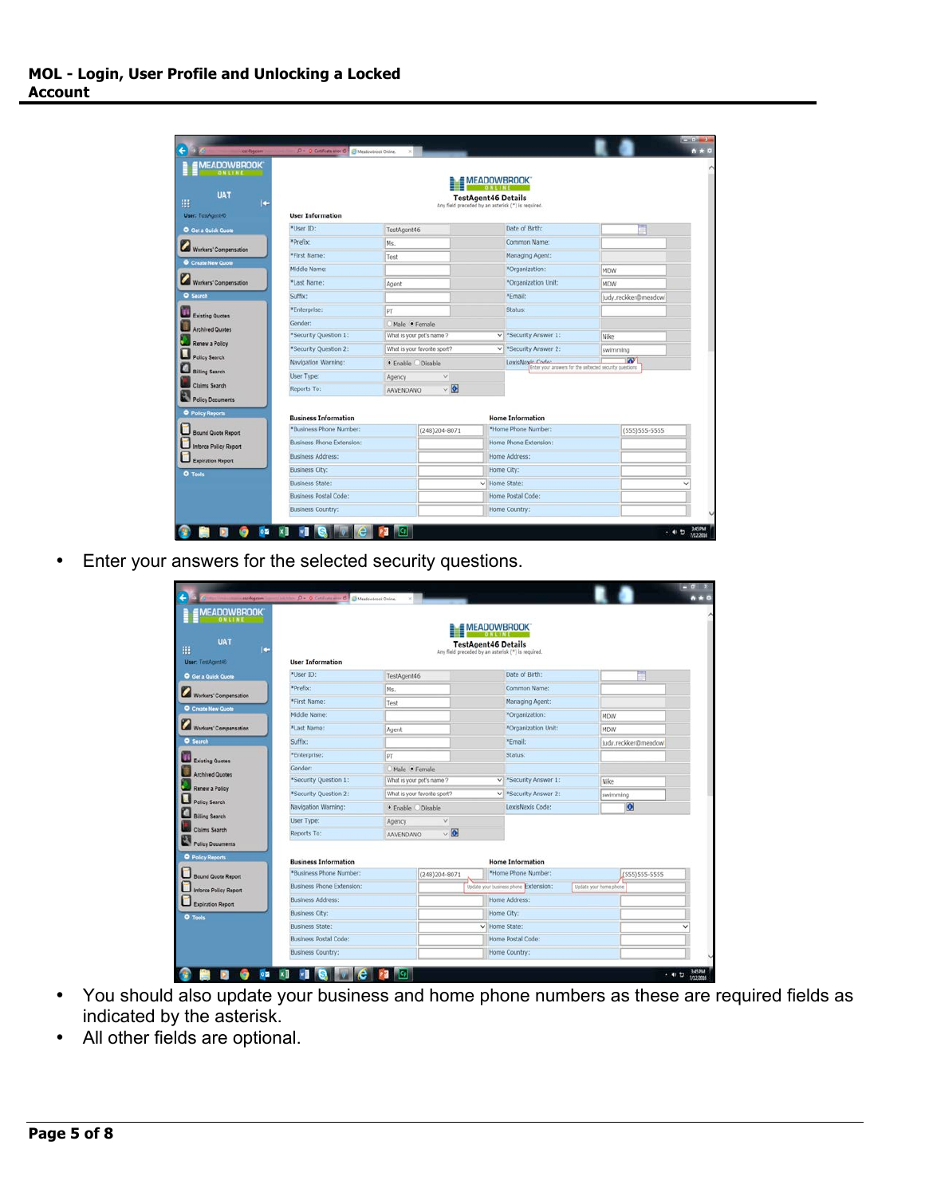| <b>MEADOWBROOK</b>                          |                                  |             |                              | <b>MEADOWBROOK</b>         |                                                                             |          |                     |
|---------------------------------------------|----------------------------------|-------------|------------------------------|----------------------------|-----------------------------------------------------------------------------|----------|---------------------|
| <b>UAT</b><br>ı.<br>User: TestAgent46       | <b>User Information</b>          |             |                              | <b>TestAgent46 Details</b> | Any field preceded by an asterisk (") is required.                          |          |                     |
| <b>O</b> Get a Quick Quote                  | *User ID:                        | TestAgent46 |                              |                            | Date of Birth:                                                              |          |                     |
| Workers' Compensation                       | *Prefix:                         | Ms.         |                              |                            | Common Name:                                                                |          |                     |
| Create New Quote                            | *First Name:                     | Test        |                              |                            | Managing Agent:                                                             |          |                     |
|                                             | Middle Name:                     |             |                              |                            | *Organization:                                                              | MDW      |                     |
| Workers' Compensation                       | *Last Name:                      | Agent       |                              |                            | *Organization Unit:                                                         | MDW      |                     |
| <b>O</b> Search                             | Suffix:                          |             |                              |                            | *Email:                                                                     |          | Judy.reckker@meadow |
| <b>Existing Quotes</b>                      | *Enterprise:                     |             | PT                           |                            | Status:                                                                     |          |                     |
|                                             | Gender:                          |             | Male . Female                |                            |                                                                             |          |                     |
| <b>Archived Quotes</b>                      | *Security Question 1:            |             | What is your pet's name ?    |                            | V *Security Answer 1:                                                       | Nike     |                     |
| Renew a Policy                              | *Security Question 2:            |             | What is your favorite sport? |                            | V *Security Answer 2:                                                       | swimming |                     |
| <b>Policy Search</b>                        | Navigation Warning:              |             | ● Enable © Disable           |                            | LexisNeyie Code:<br>Enter your answers for the seltected security questions |          | <b>W</b>            |
| <b>Billing Search</b>                       | User Type:                       | Agency      | $\check{~}$                  |                            |                                                                             |          |                     |
| <b>Claims Search</b>                        | Reports To:                      | AAVENDANO   | $\vee$ 0                     |                            |                                                                             |          |                     |
| Policy Documents<br><b>O</b> Policy Reports | <b>Business Information</b>      |             |                              |                            | <b>Home Information</b>                                                     |          |                     |
| Bound Quote Report                          | *Business Phone Number:          |             | (248)204-8071                |                            | *Home Phone Number:                                                         |          | (555)555-5555       |
| <b>Inforce Policy Report</b>                | <b>Business Phone Extension:</b> |             |                              |                            | Home Phone Extension:                                                       |          |                     |
| <b>Expiration Report</b>                    | <b>Business Address:</b>         |             |                              |                            | Home Address:                                                               |          |                     |
| O Tools                                     | <b>Business City:</b>            |             |                              |                            | Home City:                                                                  |          |                     |
|                                             | <b>Business State:</b>           |             |                              | V Home State:              |                                                                             |          |                     |
|                                             | <b>Business Postal Code:</b>     |             |                              |                            | Home Postal Code:                                                           |          |                     |
|                                             | <b>Business Country:</b>         |             |                              |                            | Home Country:                                                               |          |                     |

• Enter your answers for the selected security questions.

| <b>MEADOWBROOK</b><br><b>UAT</b><br>c<br>User: TestAgent46 | <b>User Information</b>          |                  | Any field preceded by an asterisk (*) is required. |               | <b>EMEADOWBROOK</b><br><b>TestAgent46 Details</b> |                        |                         |  |
|------------------------------------------------------------|----------------------------------|------------------|----------------------------------------------------|---------------|---------------------------------------------------|------------------------|-------------------------|--|
| G Get a Quick Quote                                        | *User ID:                        | TestAgent46      |                                                    |               | Date of Birth:                                    |                        |                         |  |
|                                                            | *Prefix:                         | Ms.              |                                                    |               | Common Name:                                      |                        |                         |  |
| Workers' Compensation                                      | *First Name:                     | Test             |                                                    |               | Managing Agent:                                   |                        |                         |  |
| Create New Quote                                           | Middle Name:                     |                  |                                                    |               | *Organization:                                    | MDW                    |                         |  |
| Workers' Compensation                                      | *Last Name:                      | Agent            |                                                    |               | *Organization Unit:                               | <b>MDW</b>             |                         |  |
| <b>O</b> Search                                            | Suffix:                          |                  |                                                    |               | "Email:                                           |                        | Judy.reckker@meadow     |  |
|                                                            | *Enterprise:                     | PT               |                                                    |               | Status:                                           |                        |                         |  |
| <b>Existing Quotes</b>                                     | Gender:                          | Male · Female    |                                                    |               |                                                   |                        |                         |  |
| <b>Archived Quotes</b>                                     | *Security Question 1:            |                  | What is your pet's name ?                          |               | v *Security Answer 1:                             | Nike                   |                         |  |
| Renew a Policy                                             | *Security Question 2:            |                  | What is your favorite sport?                       |               | V *Security Answer 2:                             |                        | swimming                |  |
| <b>Policy Search</b>                                       | Navigation Warning:              |                  | · Enable O Disable                                 |               | LexisNexis Code:                                  |                        | $\overline{\mathbf{o}}$ |  |
| <b>Billing Search</b>                                      | User Type:                       | Agency.          | $\checkmark$                                       |               |                                                   |                        |                         |  |
| <b>Claims Search</b>                                       | Reports To:                      | <b>AAVENDANO</b> | $\vee$ 0                                           |               |                                                   |                        |                         |  |
| <b>Policy Documents</b><br><b>O</b> Policy Reports         | <b>Business Information</b>      |                  |                                                    |               | <b>Home Information</b>                           |                        |                         |  |
| <b>Bound Quote Report</b>                                  | *Business Phone Number:          |                  | (248)204-8071                                      |               | *Home Phone Number:                               |                        | (555) 555-5555          |  |
| <b>Inforce Policy Report</b>                               | <b>Business Phone Extension:</b> |                  |                                                    |               | Update your business phone Extension:             | Update your home phone |                         |  |
| <b>Expiration Report</b>                                   | <b>Business Address:</b>         |                  |                                                    |               | Home Address:                                     |                        |                         |  |
| O Tools                                                    | <b>Business City:</b>            |                  |                                                    |               | Home City:                                        |                        |                         |  |
|                                                            | <b>Business State:</b>           |                  |                                                    | v Home State: |                                                   |                        |                         |  |
|                                                            | Business Postal Code:            |                  |                                                    |               | Home Postal Code:                                 |                        |                         |  |
|                                                            | <b>Business Country:</b>         |                  |                                                    |               | Home Country:                                     |                        |                         |  |

- You should also update your business and home phone numbers as these are required fields as indicated by the asterisk.
- All other fields are optional.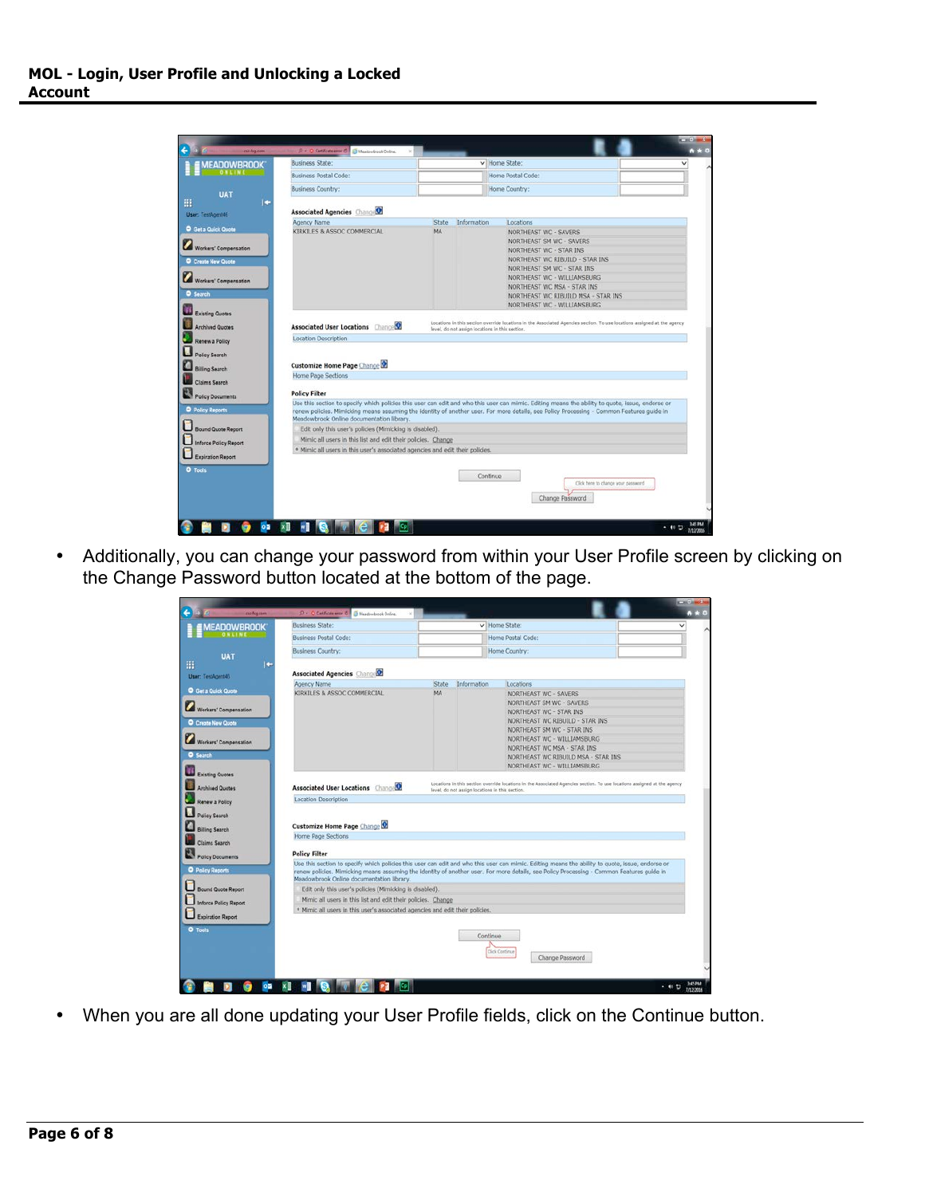| <b>AEADOWBROOK</b>           | <b>Business State:</b>                                                                                                                                                                                                                                                                                                                     |           |                                                 | v Home State:                                                                                                            |                                    |
|------------------------------|--------------------------------------------------------------------------------------------------------------------------------------------------------------------------------------------------------------------------------------------------------------------------------------------------------------------------------------------|-----------|-------------------------------------------------|--------------------------------------------------------------------------------------------------------------------------|------------------------------------|
|                              | <b>Business Postal Code:</b>                                                                                                                                                                                                                                                                                                               |           |                                                 | Home Postal Code:                                                                                                        |                                    |
| <b>UAT</b>                   | <b>Business Country:</b>                                                                                                                                                                                                                                                                                                                   |           |                                                 | Home Country:                                                                                                            |                                    |
| c<br>User: TestAgent46       | <b>Associated Agencies ChangeO</b>                                                                                                                                                                                                                                                                                                         |           |                                                 |                                                                                                                          |                                    |
|                              | Agency Name                                                                                                                                                                                                                                                                                                                                | State     | Information                                     | Locations                                                                                                                |                                    |
| <b>O</b> Get a Quick Quote   | KIRKILES & ASSOC COMMERCIAL                                                                                                                                                                                                                                                                                                                | <b>MA</b> |                                                 | NORTHEAST WC - SAVERS                                                                                                    |                                    |
|                              |                                                                                                                                                                                                                                                                                                                                            |           |                                                 | NORTHEAST SM WC - SAVERS                                                                                                 |                                    |
| Workers' Compensation        |                                                                                                                                                                                                                                                                                                                                            |           |                                                 | NORTHEAST WC - STAR INS                                                                                                  |                                    |
| Create New Quote             |                                                                                                                                                                                                                                                                                                                                            |           |                                                 | NORTHEAST WC RIBUILD - STAR INS                                                                                          |                                    |
|                              |                                                                                                                                                                                                                                                                                                                                            |           |                                                 | NORTHEAST SM WC - STAR INS                                                                                               |                                    |
| Workers' Compensation        |                                                                                                                                                                                                                                                                                                                                            |           |                                                 | NORTHEAST WC - WILLIAMSBURG                                                                                              |                                    |
|                              |                                                                                                                                                                                                                                                                                                                                            |           |                                                 | NORTHEAST WC MSA - STAR INS                                                                                              |                                    |
| <b>O</b> Search              |                                                                                                                                                                                                                                                                                                                                            |           |                                                 | NORTHEAST WC RIBUILD MSA - STAR INS                                                                                      |                                    |
| <b>Existing Quotes</b>       |                                                                                                                                                                                                                                                                                                                                            |           |                                                 | NORTHEAST WC - WILLIAMSBURG                                                                                              |                                    |
|                              |                                                                                                                                                                                                                                                                                                                                            |           |                                                 | Locations in this section override locations in the Associated Agencies section. To use locations assigned at the agency |                                    |
| <b>Archived Quotes</b>       | <b>Associated User Locations Change Q</b>                                                                                                                                                                                                                                                                                                  |           | level, do not assign locations in this section. |                                                                                                                          |                                    |
| Renew a Policy               | <b>Location Description</b>                                                                                                                                                                                                                                                                                                                |           |                                                 |                                                                                                                          |                                    |
| Policy Search                |                                                                                                                                                                                                                                                                                                                                            |           |                                                 |                                                                                                                          |                                    |
| <b>Billing Search</b>        | <b>Customize Home Page Change Of</b>                                                                                                                                                                                                                                                                                                       |           |                                                 |                                                                                                                          |                                    |
|                              | Home Page Sections                                                                                                                                                                                                                                                                                                                         |           |                                                 |                                                                                                                          |                                    |
| <b>Claims Search</b>         |                                                                                                                                                                                                                                                                                                                                            |           |                                                 |                                                                                                                          |                                    |
| Policy Documents             | <b>Policy Filter</b>                                                                                                                                                                                                                                                                                                                       |           |                                                 |                                                                                                                          |                                    |
| Policy Reports               | Use this section to specify which policies this user can edit and who this user can mimic. Editing means the ability to quote, issue, endorse or<br>renew policies. Mimicking means assuming the identity of another user. For more details, see Policy Processing - Common Features guide in<br>Meadowbrook Online documentation library. |           |                                                 |                                                                                                                          |                                    |
| Bound Quote Report           | Edit only this user's policies (Mimicking is disabled).                                                                                                                                                                                                                                                                                    |           |                                                 |                                                                                                                          |                                    |
| <b>Inforce Policy Report</b> | Mimic all users in this list and edit their policies. Change                                                                                                                                                                                                                                                                               |           |                                                 |                                                                                                                          |                                    |
|                              | · Mimic all users in this user's associated agencies and edit their policies.                                                                                                                                                                                                                                                              |           |                                                 |                                                                                                                          |                                    |
|                              |                                                                                                                                                                                                                                                                                                                                            |           |                                                 |                                                                                                                          |                                    |
| <b>Expiration Report</b>     |                                                                                                                                                                                                                                                                                                                                            |           |                                                 |                                                                                                                          |                                    |
|                              |                                                                                                                                                                                                                                                                                                                                            |           |                                                 |                                                                                                                          |                                    |
| O Tools                      |                                                                                                                                                                                                                                                                                                                                            |           | Continue                                        |                                                                                                                          |                                    |
|                              |                                                                                                                                                                                                                                                                                                                                            |           |                                                 |                                                                                                                          | Click here to change your password |

• Additionally, you can change your password from within your User Profile screen by clicking on the Change Password button located at the bottom of the page.

| <b><i>MEADOWBROOK</i></b>                                                     | Business State:                                                                                                                                  |       |             | V Home State:                                                                                                                                                               |  |
|-------------------------------------------------------------------------------|--------------------------------------------------------------------------------------------------------------------------------------------------|-------|-------------|-----------------------------------------------------------------------------------------------------------------------------------------------------------------------------|--|
|                                                                               | <b>Business Postal Code:</b>                                                                                                                     |       |             | Home Postal Code:                                                                                                                                                           |  |
| UAT                                                                           | <b>Business Country:</b>                                                                                                                         |       |             | Home Country:                                                                                                                                                               |  |
| ÷<br>User: TestAgent46                                                        | Associated Agencies Change                                                                                                                       |       |             |                                                                                                                                                                             |  |
|                                                                               | Agency Name                                                                                                                                      | State | Information | Locations                                                                                                                                                                   |  |
| <b>O</b> Get a Quick Quote                                                    | KIRKILES & ASSOC COMMERCIAL                                                                                                                      | MA    |             | NORTHEAST WC - SAVERS                                                                                                                                                       |  |
|                                                                               |                                                                                                                                                  |       |             | NORTHEAST SM WC - SAVERS                                                                                                                                                    |  |
| Workers' Compensation                                                         |                                                                                                                                                  |       |             | NORTHEAST WC - STAR INS                                                                                                                                                     |  |
| C Create New Quote                                                            |                                                                                                                                                  |       |             | NORTHEAST WC RIBUILD - STAR INS                                                                                                                                             |  |
|                                                                               |                                                                                                                                                  |       |             | NORTHEAST SM WC - STAR INS                                                                                                                                                  |  |
| Workers' Compensation                                                         |                                                                                                                                                  |       |             | NORTHEAST WC - WILLIAMSBURG                                                                                                                                                 |  |
|                                                                               |                                                                                                                                                  |       |             | NORTHEAST WC MSA - STAR INS                                                                                                                                                 |  |
| <b>O</b> Search                                                               |                                                                                                                                                  |       |             | NORTHEAST WC RIBUILD MSA - STAR INS                                                                                                                                         |  |
| Existing Quotes                                                               |                                                                                                                                                  |       |             | NORTHEAST WC - WILLIAMSBURG                                                                                                                                                 |  |
|                                                                               |                                                                                                                                                  |       |             |                                                                                                                                                                             |  |
|                                                                               |                                                                                                                                                  |       |             |                                                                                                                                                                             |  |
| <b>Archived Quotes</b>                                                        | Associated User Locations Change                                                                                                                 |       |             | Locations in this section override locations in the Associated Agencies section. To use locations assigned at the agency<br>level, do not assign locations in this section. |  |
| Renew a Policy                                                                | <b>Location Description</b>                                                                                                                      |       |             |                                                                                                                                                                             |  |
|                                                                               |                                                                                                                                                  |       |             |                                                                                                                                                                             |  |
| Policy Search                                                                 |                                                                                                                                                  |       |             |                                                                                                                                                                             |  |
| <b>Billing Search</b>                                                         | Customize Home Page Change                                                                                                                       |       |             |                                                                                                                                                                             |  |
| <b>Claims Search</b>                                                          | Home Page Sections                                                                                                                               |       |             |                                                                                                                                                                             |  |
|                                                                               | <b>Policy Filter</b>                                                                                                                             |       |             |                                                                                                                                                                             |  |
| Policy Documents                                                              | Use this section to specify which policies this user can edit and who this user can mimic. Editing means the ability to quote, issue, endorse or |       |             |                                                                                                                                                                             |  |
|                                                                               | renew policies. Mimicking means assuming the identity of another user. For more details, see Policy Processing - Common Features guide in        |       |             |                                                                                                                                                                             |  |
|                                                                               | Meadowbrook Online documentation library.                                                                                                        |       |             |                                                                                                                                                                             |  |
|                                                                               | Edit only this user's policies (Mimicking is disabled).                                                                                          |       |             |                                                                                                                                                                             |  |
| <b>O</b> Policy Reports<br><b>Bound Quote Report</b><br>Inforce Policy Report | Mimic all users in this list and edit their policies. Change                                                                                     |       |             |                                                                                                                                                                             |  |
| <b>Expiration Report</b>                                                      | <sup>*</sup> Mimic all users in this user's associated agencies and edit their policies.                                                         |       |             |                                                                                                                                                                             |  |
|                                                                               |                                                                                                                                                  |       |             |                                                                                                                                                                             |  |
| O Tools                                                                       |                                                                                                                                                  |       |             | Continue                                                                                                                                                                    |  |
|                                                                               |                                                                                                                                                  |       |             |                                                                                                                                                                             |  |
|                                                                               |                                                                                                                                                  |       |             | <b>Click Continue</b><br>Change Password                                                                                                                                    |  |

• When you are all done updating your User Profile fields, click on the Continue button.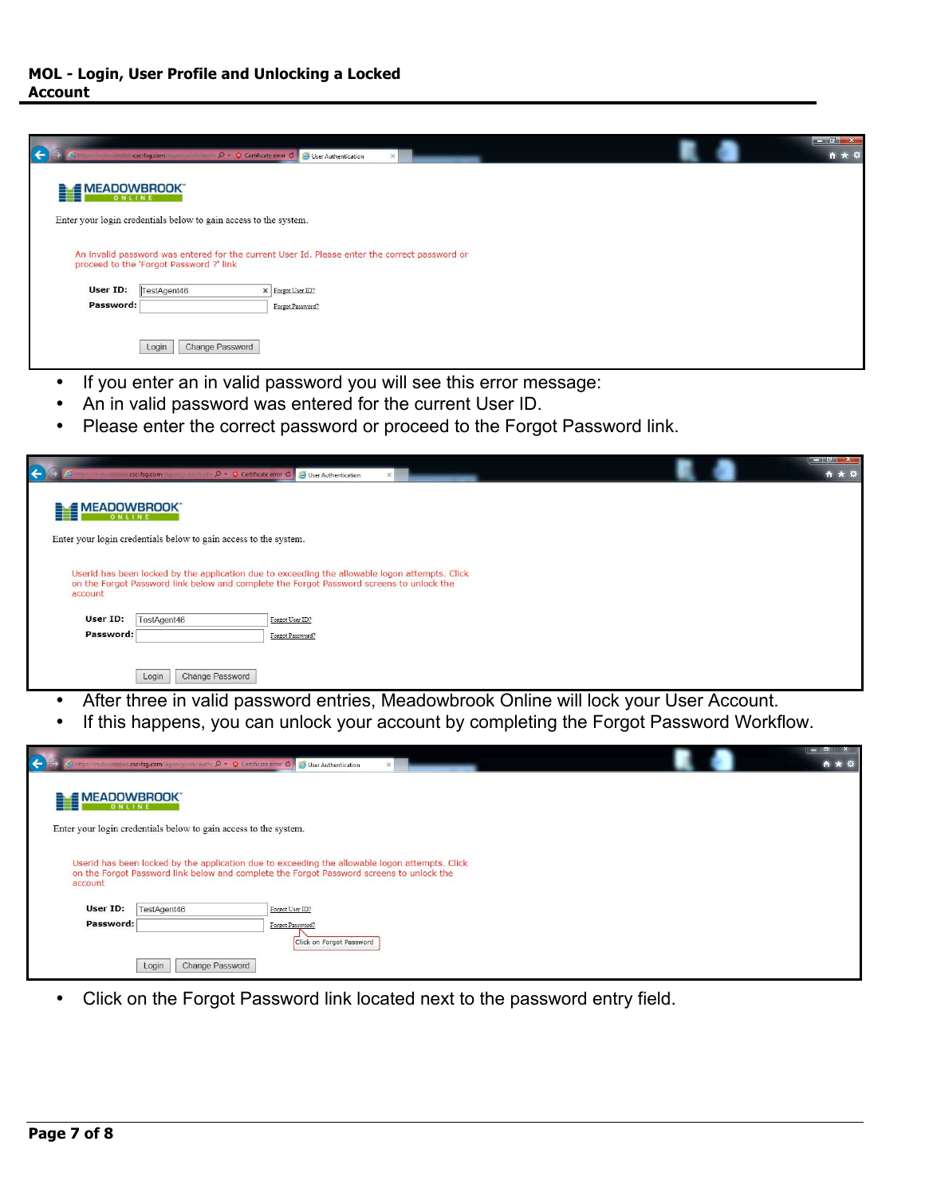| R           | csc-fsg.com Agency Link/Author D = 3 Certificate error O 3 User Authentication |                                                                                               | $\times$ |  | <u>respectively</u><br>☆★☆ |
|-------------|--------------------------------------------------------------------------------|-----------------------------------------------------------------------------------------------|----------|--|----------------------------|
| MEADOWBROOK |                                                                                |                                                                                               |          |  |                            |
|             | Enter your login credentials below to gain access to the system.               |                                                                                               |          |  |                            |
|             |                                                                                | An invalid password was entered for the current User Id. Please enter the correct password or |          |  |                            |
|             | proceed to the 'Forgot Password ?' link                                        |                                                                                               |          |  |                            |
| User ID:    | TestAgent46                                                                    | X Forgot User ID?                                                                             |          |  |                            |
| Password:   |                                                                                | Forgot Password?                                                                              |          |  |                            |
|             |                                                                                |                                                                                               |          |  |                            |
|             | Change Password                                                                |                                                                                               |          |  |                            |
|             | Login                                                                          |                                                                                               |          |  |                            |

- If you enter an in valid password you will see this error message:
- An in valid password was entered for the current User ID.
- Please enter the correct password or proceed to the Forgot Password link.

|                     | csc-fsg.com Team of Internation $D = \otimes$ Certificate error $\circ$ (e) User Authentication |                                                                                                                                                                                            |  | <b>Digital</b><br>$A + Q$ |
|---------------------|-------------------------------------------------------------------------------------------------|--------------------------------------------------------------------------------------------------------------------------------------------------------------------------------------------|--|---------------------------|
| <b>EMEADOWBROOK</b> |                                                                                                 |                                                                                                                                                                                            |  |                           |
|                     | Enter your login credentials below to gain access to the system.                                |                                                                                                                                                                                            |  |                           |
| account             |                                                                                                 | Userid has been locked by the application due to exceeding the allowable logon attempts. Click<br>on the Forgot Password link below and complete the Forgot Password screens to unlock the |  |                           |
| User ID:            | TestAgent46                                                                                     | Forgot User ID?                                                                                                                                                                            |  |                           |
| Password:           |                                                                                                 | Forgot Password?                                                                                                                                                                           |  |                           |
|                     | Login<br>Change Password                                                                        |                                                                                                                                                                                            |  |                           |

- After three in valid password entries, Meadowbrook Online will lock your User Account.
- If this happens, you can unlock your account by completing the Forgot Password Workflow.

|                        | https://mdwuatalwa.csc-fsg.com/Agencyl.ink/Authr Q - © Certificate error C B User Authentication |                                                                                                                                                                                            | $\times$ |  |  |
|------------------------|--------------------------------------------------------------------------------------------------|--------------------------------------------------------------------------------------------------------------------------------------------------------------------------------------------|----------|--|--|
| <b>ALE MEADOWBROOK</b> |                                                                                                  |                                                                                                                                                                                            |          |  |  |
|                        | Enter your login credentials below to gain access to the system.                                 |                                                                                                                                                                                            |          |  |  |
| account                |                                                                                                  | Userid has been locked by the application due to exceeding the allowable logon attempts. Click<br>on the Forgot Password link below and complete the Forgot Password screens to unlock the |          |  |  |
| User ID:               | TestAgent46                                                                                      | Forgot User ID?                                                                                                                                                                            |          |  |  |
| Password:              |                                                                                                  | Forgot Password?<br>Click on Forgot Password                                                                                                                                               |          |  |  |
|                        | Login<br><b>Change Password</b>                                                                  |                                                                                                                                                                                            |          |  |  |

• Click on the Forgot Password link located next to the password entry field.